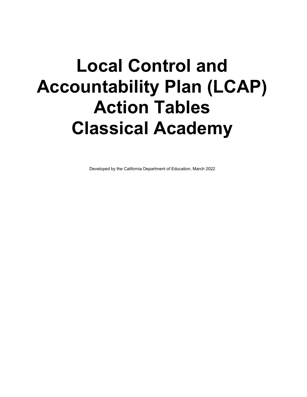## **Local Control and Accountability Plan (LCAP) Action Tables Classical Academy**

Developed by the California Department of Education, March 2022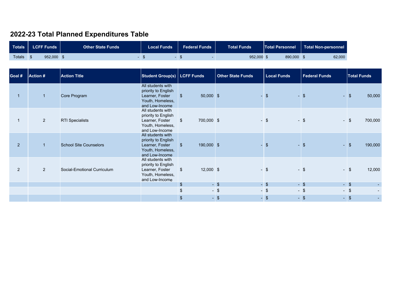## **2022-23 Total Planned Expenditures Table**

|               | Totals <b>LCFF</b> Funds | <b>Other State Funds</b> | Local Funds | <b>Federal Funds</b> | <b>Total Funds</b> | Total Personnel | Total Non-personnel |  |
|---------------|--------------------------|--------------------------|-------------|----------------------|--------------------|-----------------|---------------------|--|
| <b>Totals</b> | 952.000                  |                          |             |                      | 952,000            | 890,000         | 62,000              |  |

| Goal #         | <b>Action #</b> | <b>Action Title</b>           | Student Group(s)   LCFF Funds                                                                     |                               | <b>Other State Funds</b> | <b>Local Funds</b> | <b>Federal Funds</b> | <b>Total Funds</b> |
|----------------|-----------------|-------------------------------|---------------------------------------------------------------------------------------------------|-------------------------------|--------------------------|--------------------|----------------------|--------------------|
| 1              | $\mathbf{1}$    | Core Program                  | All students with<br>priority to English<br>Learner, Foster<br>Youth, Homeless,<br>and Low-Income | $50,000$ \$<br>$\sqrt[6]{3}$  |                          |                    | $\mathfrak{L}$       | 50,000<br>\$       |
|                | $2^{\circ}$     | <b>RTI Specialists</b>        | All students with<br>priority to English<br>Learner, Foster<br>Youth, Homeless,<br>and Low-Income | 700,000 \$<br>$\mathbb{S}$    |                          | $-$ \$             | $-$ \$               | $-$ \$<br>700,000  |
| $\overline{2}$ |                 | <b>School Site Counselors</b> | All students with<br>priority to English<br>Learner, Foster<br>Youth, Homeless,<br>and Low-Income | $\sqrt{2}$<br>190,000 \$      |                          |                    | $\mathfrak{L}$       | 190,000<br>- S     |
| $\overline{2}$ | $2^{\circ}$     | Social-Emotional Curriculum   | All students with<br>priority to English<br>Learner, Foster<br>Youth, Homeless,<br>and Low-Income | $12,000$ \$<br>$\mathfrak{S}$ |                          | $-$ \$             | $-$ \$               | 12,000<br>$-$ \$   |
|                |                 |                               |                                                                                                   | $\boldsymbol{\$}$             | $-$ \$                   | $-$ \$             | $-$ \$               | $-$ \$             |
|                |                 |                               |                                                                                                   | $\mathfrak{L}$                | $-$ \$                   | $-$ \$             | $-$ \$               | $-$ \$             |
|                |                 |                               |                                                                                                   | \$                            | $-$ \$                   | $-$ \$             | $-$ \$               | $-$ \$             |